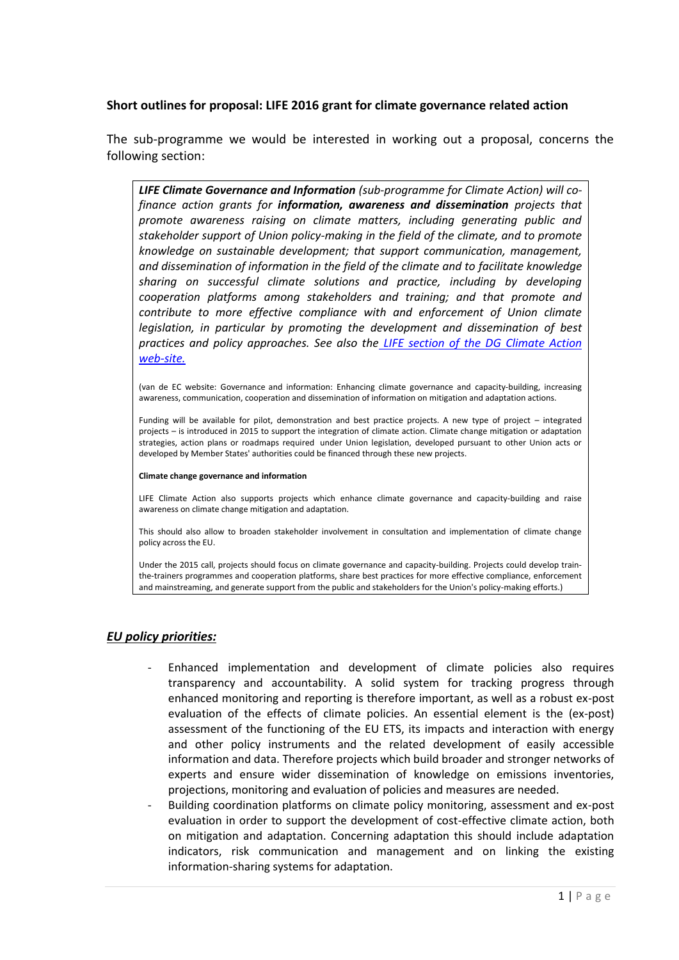### **Short outlines for proposal: LIFE 2016 grant for climate governance related action**

The sub-programme we would be interested in working out a proposal, concerns the following section:

*LIFE Climate Governance and Information (sub-programme for Climate Action) will cofinance action grants for information, awareness and dissemination projects that promote awareness raising on climate matters, including generating public and stakeholder support of Union policy-making in the field of the climate, and to promote knowledge on sustainable development; that support communication, management, and dissemination of information in the field of the climate and to facilitate knowledge sharing on successful climate solutions and practice, including by developing cooperation platforms among stakeholders and training; and that promote and contribute to more effective compliance with and enforcement of Union climate legislation, in particular by promoting the development and dissemination of best practices and policy approaches. See also the [LIFE section of the DG Climate Action](http://ec.europa.eu/clima/policies/budget/life/index_en.htm)  [web-site.](http://ec.europa.eu/clima/policies/budget/life/index_en.htm)* 

(van de EC website: Governance and information: Enhancing climate governance and capacity-building, increasing awareness, communication, cooperation and dissemination of information on mitigation and adaptation actions.

Funding will be available for pilot, demonstration and best practice projects. A new type of project – integrated projects – is introduced in 2015 to support the integration of climate action. Climate change mitigation or adaptation strategies, action plans or roadmaps required under Union legislation, developed pursuant to other Union acts or developed by Member States' authorities could be financed through these new projects.

#### **Climate change governance and information**

LIFE Climate Action also supports projects which enhance climate governance and capacity-building and raise awareness on climate change mitigation and adaptation.

This should also allow to broaden stakeholder involvement in consultation and implementation of climate change policy across the EU.

Under the 2015 call, projects should focus on climate governance and capacity-building. Projects could develop trainthe-trainers programmes and cooperation platforms, share best practices for more effective compliance, enforcement and mainstreaming, and generate support from the public and stakeholders for the Union's policy-making efforts.)

### *EU policy priorities:*

- Enhanced implementation and development of climate policies also requires transparency and accountability. A solid system for tracking progress through enhanced monitoring and reporting is therefore important, as well as a robust ex-post evaluation of the effects of climate policies. An essential element is the (ex-post) assessment of the functioning of the EU ETS, its impacts and interaction with energy and other policy instruments and the related development of easily accessible information and data. Therefore projects which build broader and stronger networks of experts and ensure wider dissemination of knowledge on emissions inventories, projections, monitoring and evaluation of policies and measures are needed.
- Building coordination platforms on climate policy monitoring, assessment and ex-post evaluation in order to support the development of cost-effective climate action, both on mitigation and adaptation. Concerning adaptation this should include adaptation indicators, risk communication and management and on linking the existing information-sharing systems for adaptation.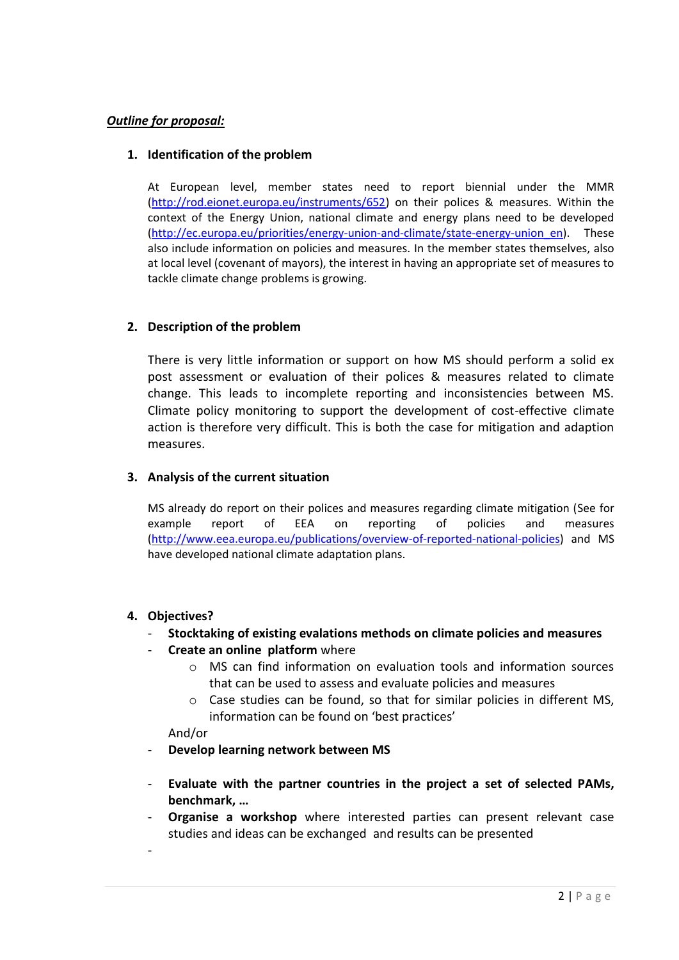# *Outline for proposal:*

## **1. Identification of the problem**

At European level, member states need to report biennial under the MMR [\(http://rod.eionet.europa.eu/instruments/652\)](http://rod.eionet.europa.eu/instruments/652) on their polices & measures. Within the context of the Energy Union, national climate and energy plans need to be developed [\(http://ec.europa.eu/priorities/energy-union-and-climate/state-energy-union\\_en\)](http://ec.europa.eu/priorities/energy-union-and-climate/state-energy-union_en). These also include information on policies and measures. In the member states themselves, also at local level (covenant of mayors), the interest in having an appropriate set of measures to tackle climate change problems is growing.

## **2. Description of the problem**

There is very little information or support on how MS should perform a solid ex post assessment or evaluation of their polices & measures related to climate change. This leads to incomplete reporting and inconsistencies between MS. Climate policy monitoring to support the development of cost-effective climate action is therefore very difficult. This is both the case for mitigation and adaption measures.

## **3. Analysis of the current situation**

MS already do report on their polices and measures regarding climate mitigation (See for example report of EEA on reporting of policies and measures [\(http://www.eea.europa.eu/publications/overview-of-reported-national-policies\)](http://www.eea.europa.eu/publications/overview-of-reported-national-policies) and MS have developed national climate adaptation plans.

### **4. Objectives?**

- **Stocktaking of existing evalations methods on climate policies and measures**
- **Create an online platform** where
	- o MS can find information on evaluation tools and information sources that can be used to assess and evaluate policies and measures
	- $\circ$  Case studies can be found, so that for similar policies in different MS, information can be found on 'best practices'

And/or

-

- **Develop learning network between MS**
- **Evaluate with the partner countries in the project a set of selected PAMs, benchmark, …**
- **Organise a workshop** where interested parties can present relevant case studies and ideas can be exchanged and results can be presented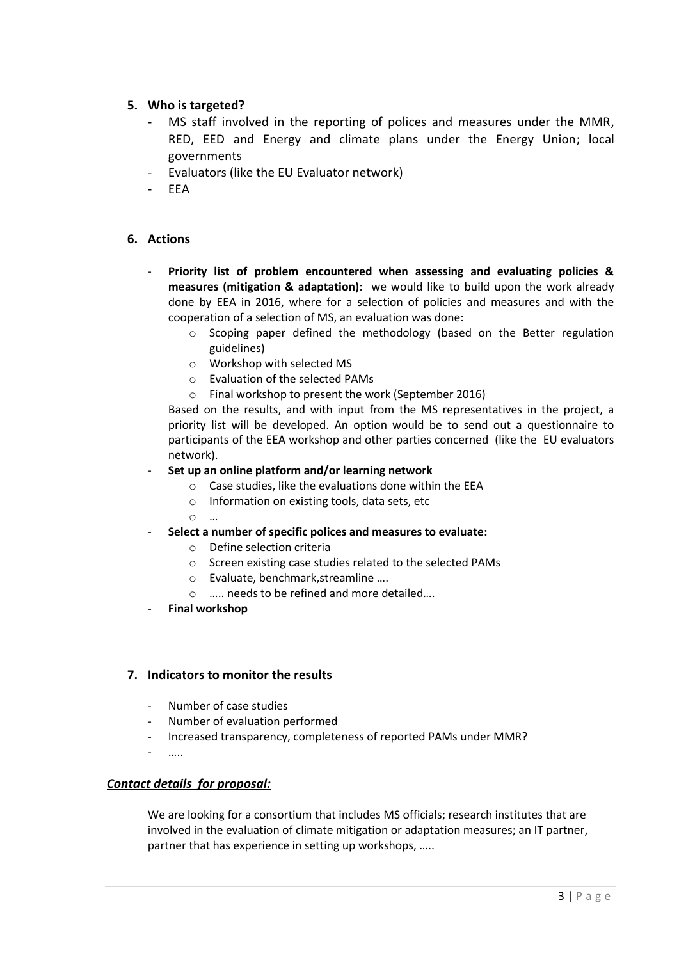## **5. Who is targeted?**

- MS staff involved in the reporting of polices and measures under the MMR, RED, EED and Energy and climate plans under the Energy Union; local governments
- Evaluators (like the EU Evaluator network)
- EEA

## **6. Actions**

- **Priority list of problem encountered when assessing and evaluating policies & measures (mitigation & adaptation)**: we would like to build upon the work already done by EEA in 2016, where for a selection of policies and measures and with the cooperation of a selection of MS, an evaluation was done:
	- $\circ$  Scoping paper defined the methodology (based on the Better regulation guidelines)
	- o Workshop with selected MS
	- o Evaluation of the selected PAMs
	- o Final workshop to present the work (September 2016)

Based on the results, and with input from the MS representatives in the project, a priority list will be developed. An option would be to send out a questionnaire to participants of the EEA workshop and other parties concerned (like the EU evaluators network).

#### - **Set up an online platform and/or learning network**

- o Case studies, like the evaluations done within the EEA
- o Information on existing tools, data sets, etc
- o …
- **Select a number of specific polices and measures to evaluate:**
	- o Define selection criteria
	- o Screen existing case studies related to the selected PAMs
	- o Evaluate, benchmark,streamline ….
	- o ….. needs to be refined and more detailed….
- **Final workshop**

### **7. Indicators to monitor the results**

- Number of case studies
- Number of evaluation performed
- Increased transparency, completeness of reported PAMs under MMR?
- …..

### *Contact details for proposal:*

We are looking for a consortium that includes MS officials; research institutes that are involved in the evaluation of climate mitigation or adaptation measures; an IT partner, partner that has experience in setting up workshops, …..